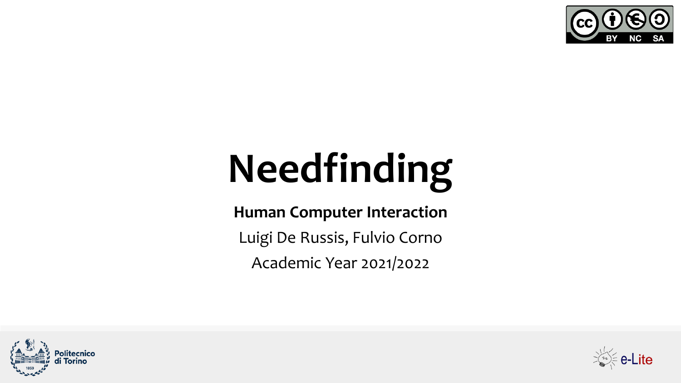

# **Needfinding**

**Human Computer Interaction**

Luigi De Russis, Fulvio Corno

Academic Year 2021/2022



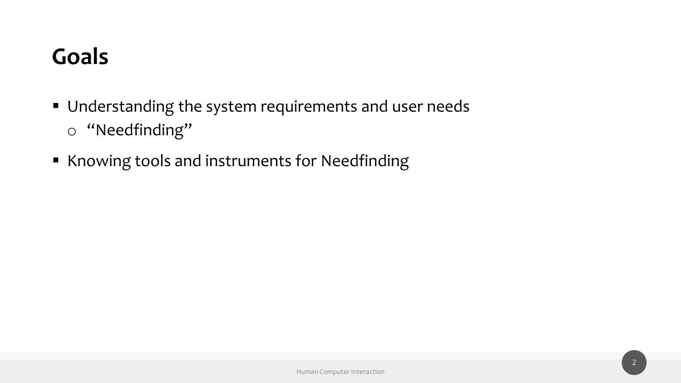#### **Goals**

- Understanding the system requirements and user needs o "Needfinding"
- Knowing tools and instruments for Needfinding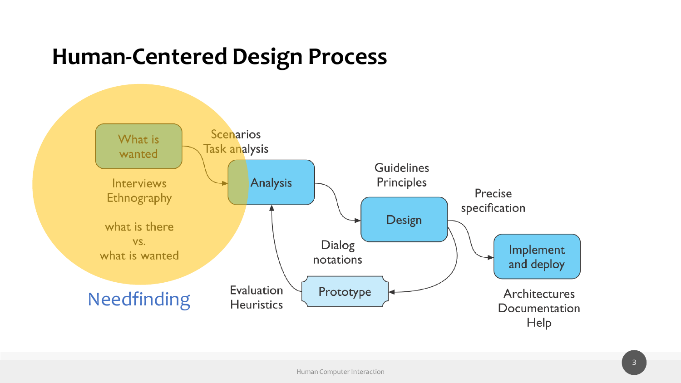#### **Human-Centered Design Process**

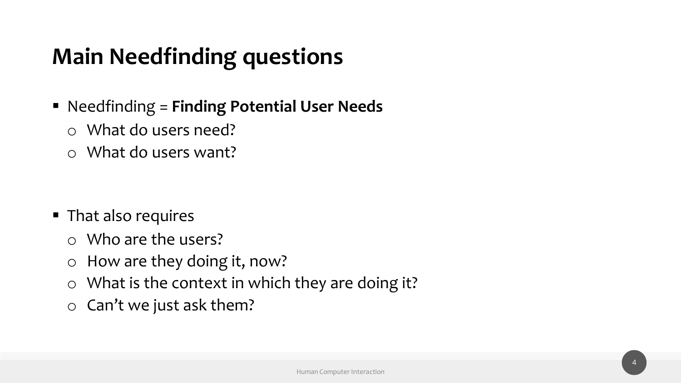#### **Main Needfinding questions**

- Needfinding = **Finding Potential User Needs**
	- o What do users need?
	- o What do users want?

- That also requires
	- o Who are the users?
	- o How are they doing it, now?
	- o What is the context in which they are doing it?
	- o Can't we just ask them?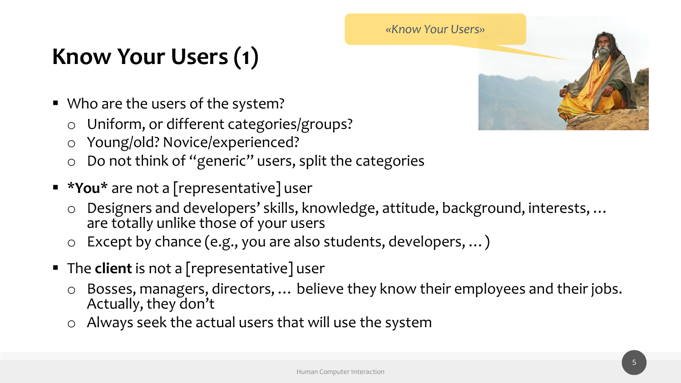#### **Know Your Users (1)**

- Who are the users of the system?
	- o Uniform, or different categories/groups?
	- o Young/old? Novice/experienced?
	- o Do not think of "generic" users, split the categories
- **\*You\*** are not a [representative] user
	- o Designers and developers' skills, knowledge, attitude, background, interests, … are totally unlike those of your users
	- o Except by chance (e.g., you are also students, developers, …)
- The **client** is not a [representative] user
	- o Bosses, managers, directors, … believe they know their employees and their jobs. Actually, they don't
	- o Always seek the actual users that will use the system

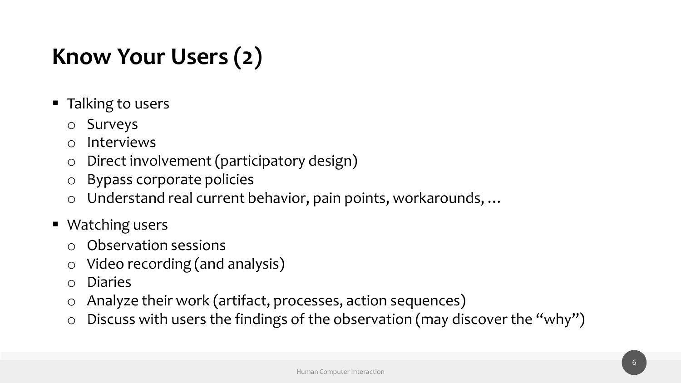#### **Know Your Users (2)**

- Talking to users
	- o Surveys
	- o Interviews
	- o Direct involvement (participatory design)
	- o Bypass corporate policies
	- o Understand real current behavior, pain points, workarounds, …
- Watching users
	- o Observation sessions
	- o Video recording (and analysis)
	- o Diaries
	- o Analyze their work (artifact, processes, action sequences)
	- $\circ$  Discuss with users the findings of the observation (may discover the "why")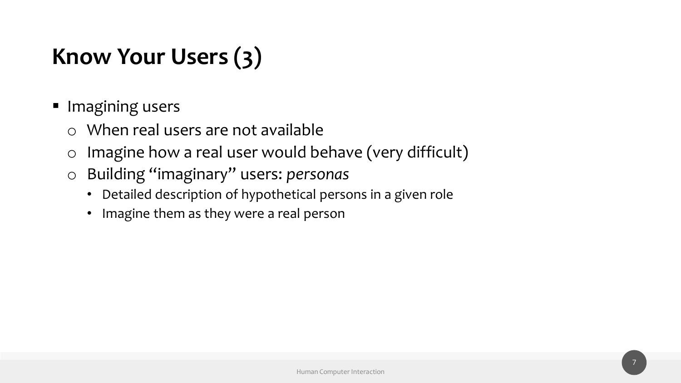#### **Know Your Users (3)**

- Imagining users
	- o When real users are not available
	- o Imagine how a real user would behave (very difficult)
	- o Building "imaginary" users: *personas*
		- Detailed description of hypothetical persons in a given role
		- Imagine them as they were a real person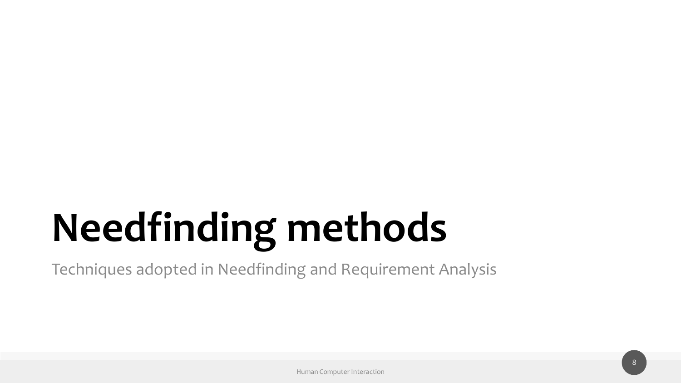# **Needfinding methods**

Techniques adopted in Needfinding and Requirement Analysis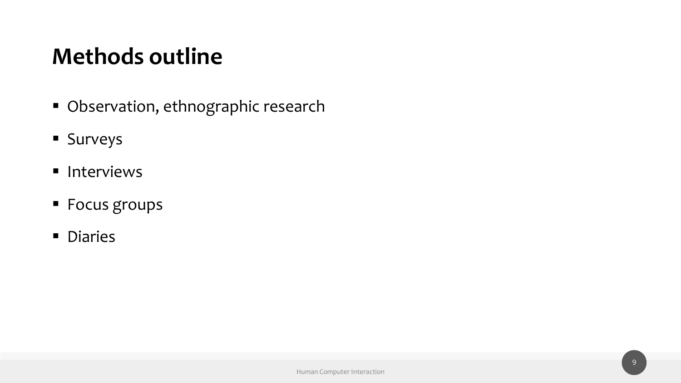#### **Methods outline**

- Observation, ethnographic research
- Surveys
- Interviews
- Focus groups
- Diaries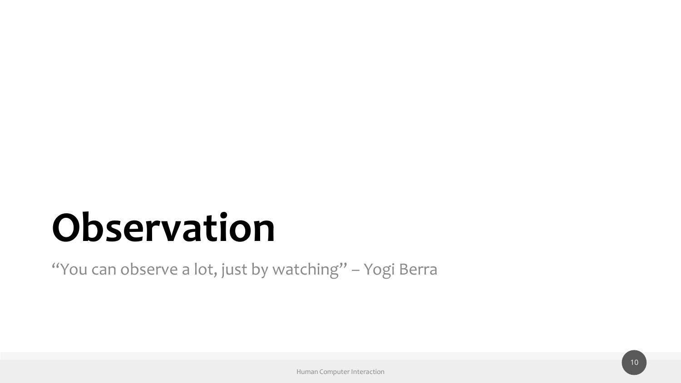### **Observation**

"You can observe a lot, just by watching" - Yogi Berra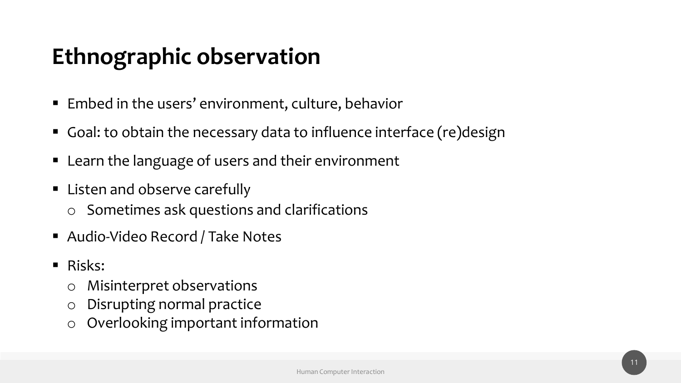#### **Ethnographic observation**

- Embed in the users' environment, culture, behavior
- Goal: to obtain the necessary data to influence interface (re)design
- Learn the language of users and their environment
- Listen and observe carefully
	- o Sometimes ask questions and clarifications
- Audio-Video Record / Take Notes
- Risks:
	- o Misinterpret observations
	- o Disrupting normal practice
	- o Overlooking important information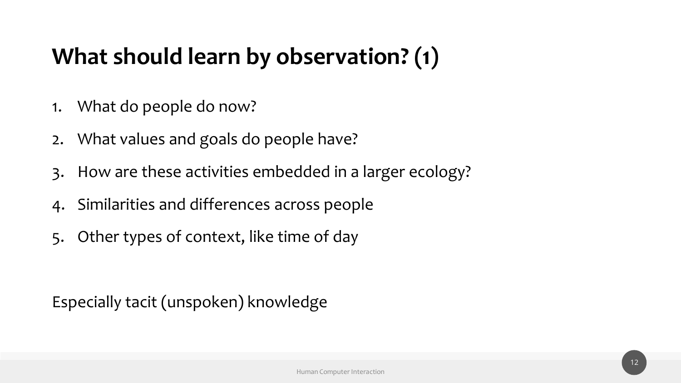#### **What should learn by observation? (1)**

- 1. What do people do now?
- 2. What values and goals do people have?
- 3. How are these activities embedded in a larger ecology?
- 4. Similarities and differences across people
- 5. Other types of context, like time of day

Especially tacit (unspoken) knowledge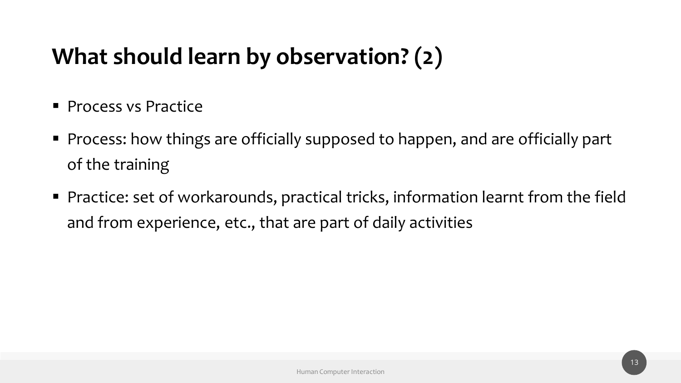#### **What should learn by observation? (2)**

- **Process vs Practice**
- Process: how things are officially supposed to happen, and are officially part of the training
- Practice: set of workarounds, practical tricks, information learnt from the field and from experience, etc., that are part of daily activities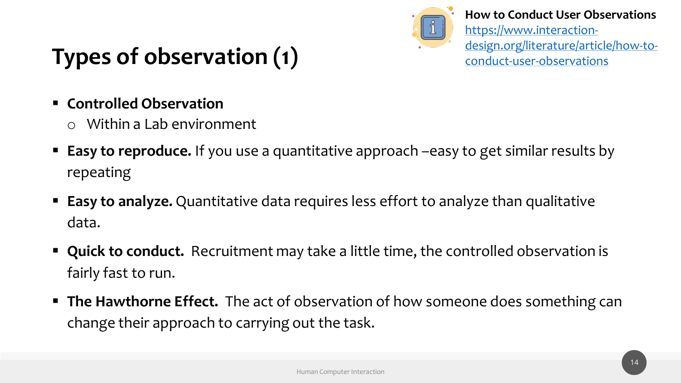

**How to Conduct User Observations**  https://www.interaction[design.org/literature/article/how-to](https://www.interaction-design.org/literature/article/how-to-conduct-user-observations)conduct-user-observations

### **Types of observation (1)**

- **Controlled Observation**
	- o Within a Lab environment
- **Easy to reproduce.** If you use a quantitative approach –easy to get similar results by repeating
- **Easy to analyze.** Quantitative data requires less effort to analyze than qualitative data.
- **Quick to conduct.** Recruitment may take a little time, the controlled observation is fairly fast to run.
- The Hawthorne Effect. The act of observation of how someone does something can change their approach to carrying out the task.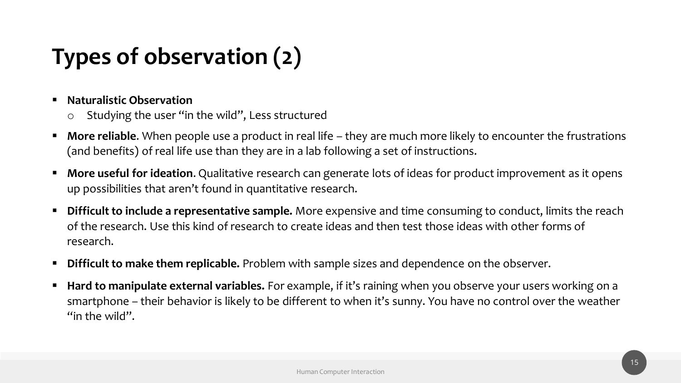### **Types of observation (2)**

#### **Naturalistic Observation**

- o Studying the user "in the wild", Less structured
- **More reliable.** When people use a product in real life they are much more likely to encounter the frustrations (and benefits) of real life use than they are in a lab following a set of instructions.
- **More useful for ideation.** Qualitative research can generate lots of ideas for product improvement as it opens up possibilities that aren't found in quantitative research.
- **Difficult to include a representative sample.** More expensive and time consuming to conduct, limits the reach of the research. Use this kind of research to create ideas and then test those ideas with other forms of research.
- **Difficult to make them replicable.** Problem with sample sizes and dependence on the observer.
- **Hard to manipulate external variables.** For example, if it's raining when you observe your users working on a smartphone – their behavior is likely to be different to when it's sunny. You have no control over the weather "in the wild".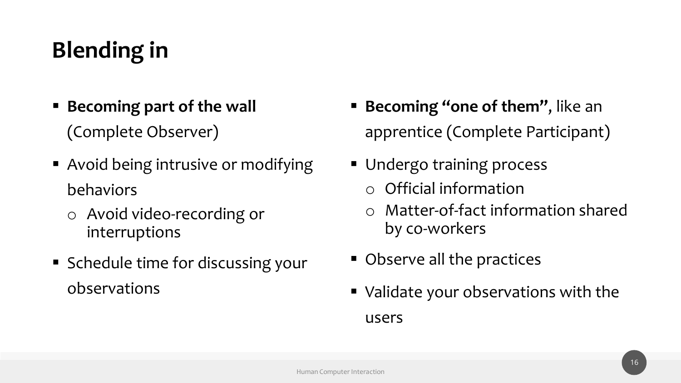### **Blending in**

- **Becoming part of the wall**  (Complete Observer)
- Avoid being intrusive or modifying behaviors
	- o Avoid video-recording or interruptions
- Schedule time for discussing your observations
- **Becoming "one of them"**, like an apprentice (Complete Participant)
- Undergo training process o Official information
	- o Matter-of-fact information shared by co-workers
- Observe all the practices
- Validate your observations with the users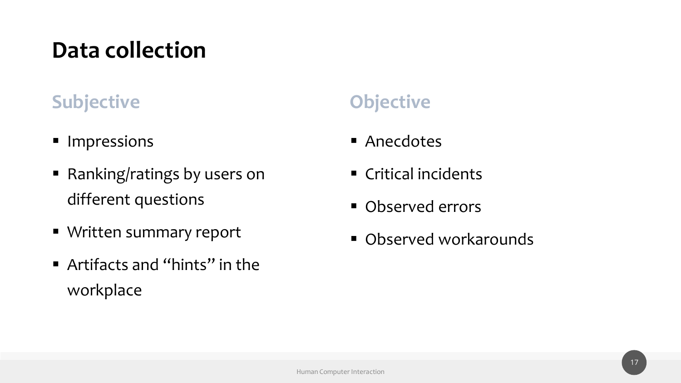#### **Data collection**

#### **Subjective Objective**

- Impressions
- Ranking/ratings by users on different questions
- Written summary report
- Artifacts and "hints" in the workplace

- Anecdotes
- Critical incidents
- Observed errors
- Observed workarounds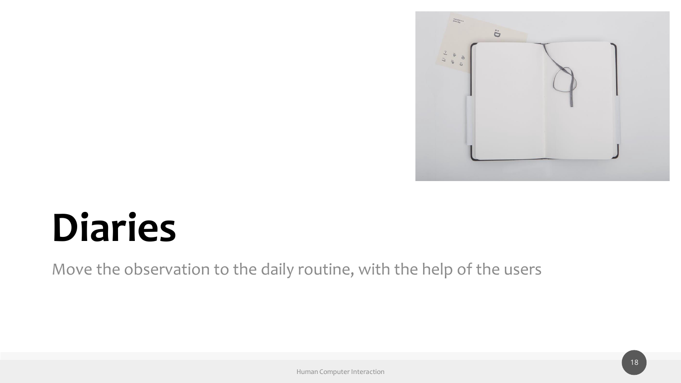

## **Diaries**

Move the observation to the daily routine, with the help of the users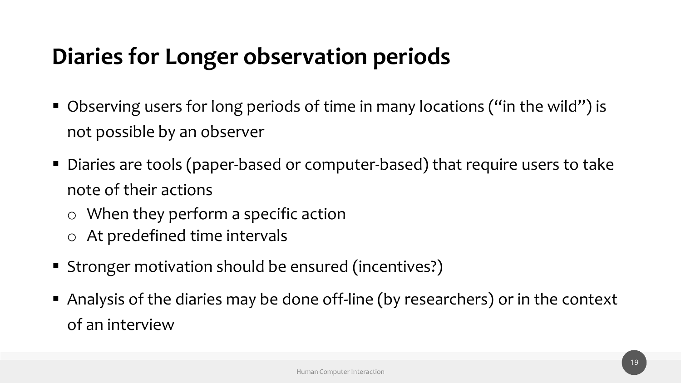#### **Diaries for Longer observation periods**

- Observing users for long periods of time in many locations ("in the wild") is not possible by an observer
- Diaries are tools (paper-based or computer-based) that require users to take note of their actions
	- o When they perform a specific action
	- o At predefined time intervals
- Stronger motivation should be ensured (incentives?)
- Analysis of the diaries may be done off-line (by researchers) or in the context of an interview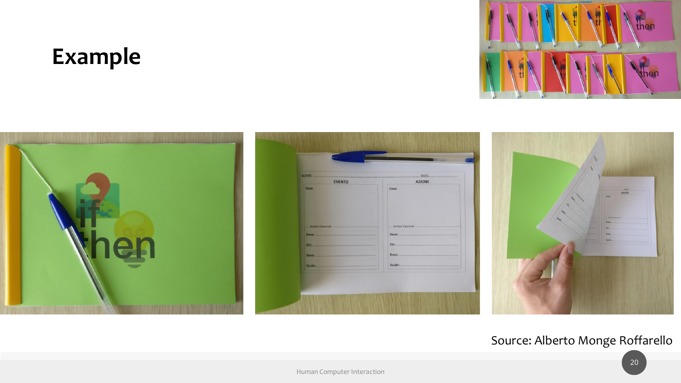#### **Example**









#### Source: Alberto Monge Roffarello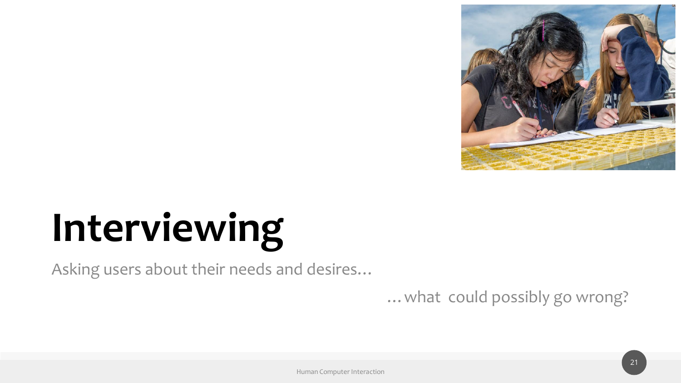

# **Interviewing**

Asking users about their needs and desires…

…what could possibly go wrong?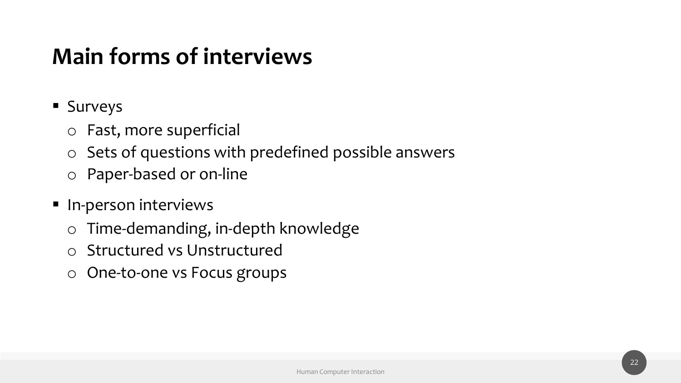#### **Main forms of interviews**

- Surveys
	- o Fast, more superficial
	- o Sets of questions with predefined possible answers
	- o Paper-based or on-line
- **·** In-person interviews
	- o Time-demanding, in-depth knowledge
	- o Structured vs Unstructured
	- o One-to-one vs Focus groups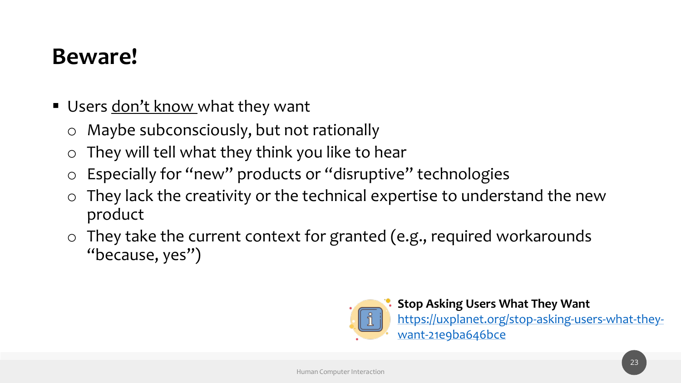#### **Beware!**

- Users <u>don't know</u> what they want
	- o Maybe subconsciously, but not rationally
	- o They will tell what they think you like to hear
	- o Especially for "new" products or "disruptive" technologies
	- o They lack the creativity or the technical expertise to understand the new product
	- o They take the current context for granted (e.g., required workarounds "because, yes")



**Stop Asking Users What They Want** [https://uxplanet.org/stop-asking-users-what-they](https://uxplanet.org/stop-asking-users-what-they-want-21e9ba646bce)want-21e9ba646bce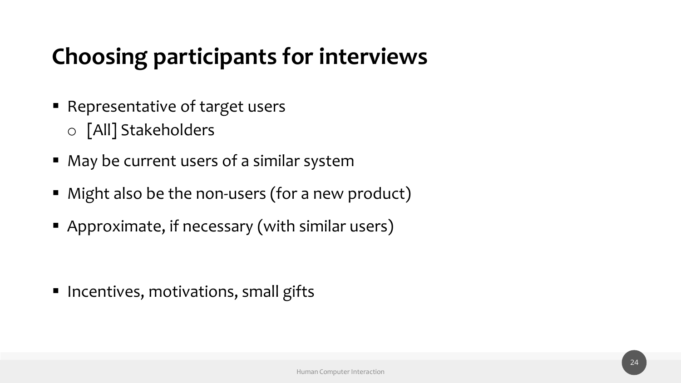#### **Choosing participants for interviews**

- Representative of target users o [All] Stakeholders
- May be current users of a similar system
- Might also be the non-users (for a new product)
- Approximate, if necessary (with similar users)

■ Incentives, motivations, small gifts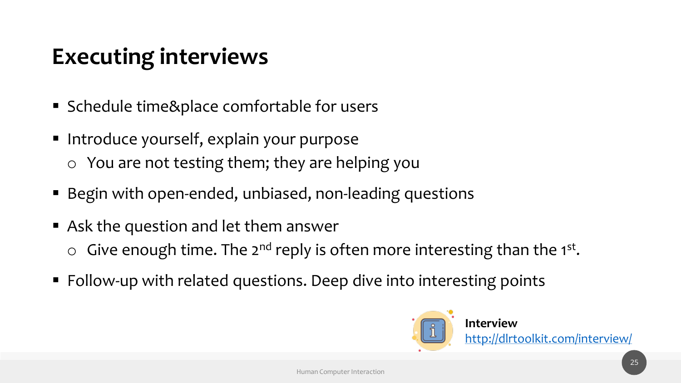#### **Executing interviews**

- Schedule time&place comfortable for users
- **· Introduce yourself, explain your purpose** o You are not testing them; they are helping you
- Begin with open-ended, unbiased, non-leading questions
- Ask the question and let them answer  $\circ$  Give enough time. The 2<sup>nd</sup> reply is often more interesting than the 1<sup>st</sup>.
- Follow-up with related questions. Deep dive into interesting points

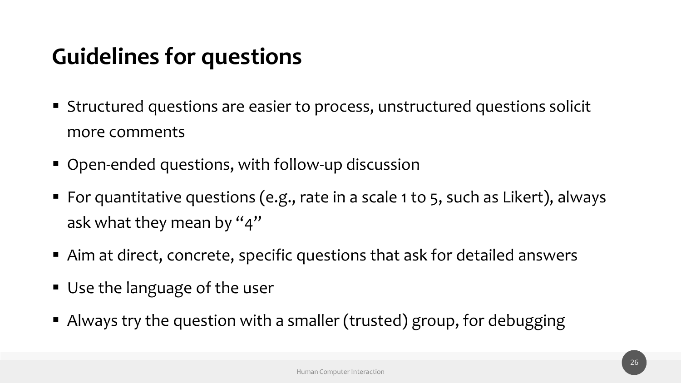#### **Guidelines for questions**

- Structured questions are easier to process, unstructured questions solicit more comments
- Open-ended questions, with follow-up discussion
- For quantitative questions (e.g., rate in a scale 1 to 5, such as Likert), always ask what they mean by "4"
- Aim at direct, concrete, specific questions that ask for detailed answers
- Use the language of the user
- Always try the question with a smaller (trusted) group, for debugging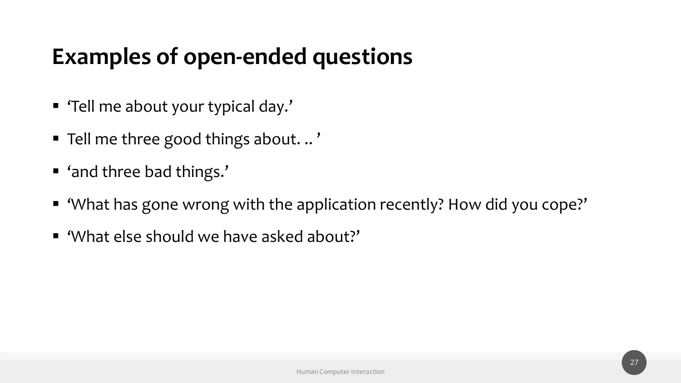#### **Examples of open-ended questions**

- 'Tell me about your typical day.'
- Tell me three good things about. .. '
- 'and three bad things.'
- 'What has gone wrong with the application recently? How did you cope?'
- 'What else should we have asked about?'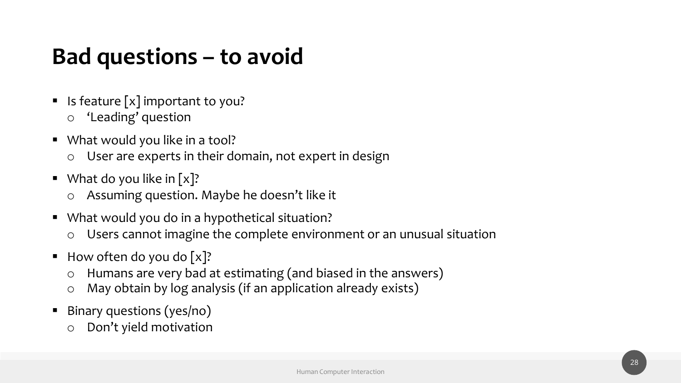#### **Bad questions – to avoid**

- $\blacksquare$  Is feature [x] important to you?
	- o 'Leading' question
- What would you like in a tool?
	- $\circ$  User are experts in their domain, not expert in design
- $\blacksquare$  What do you like in [x]?
	- o Assuming question. Maybe he doesn't like it
- What would you do in a hypothetical situation?
	- o Users cannot imagine the complete environment or an unusual situation
- $\blacksquare$  How often do you do [x]?
	- o Humans are very bad at estimating (and biased in the answers)
	- o May obtain by log analysis (if an application already exists)
- **E** Binary questions (yes/no)
	- o Don't yield motivation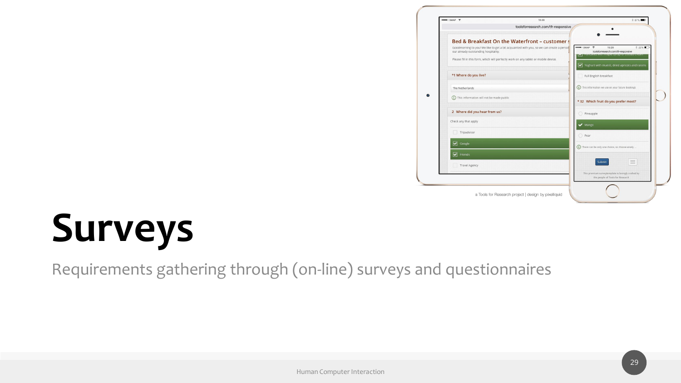

## **Surveys**

Requirements gathering through (on-line) surveys and questionnaires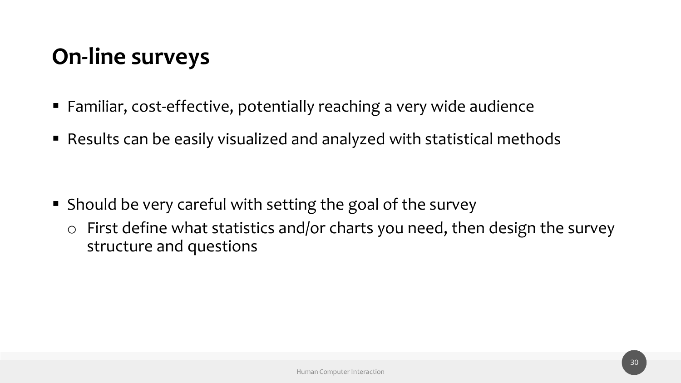#### **On-line surveys**

- Familiar, cost-effective, potentially reaching a very wide audience
- Results can be easily visualized and analyzed with statistical methods

- Should be very careful with setting the goal of the survey
	- o First define what statistics and/or charts you need, then design the survey structure and questions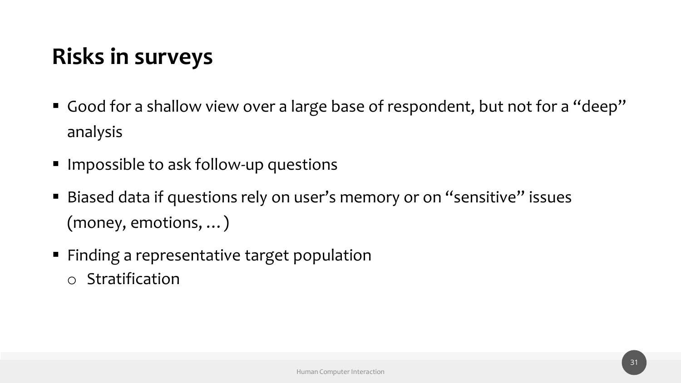### **Risks in surveys**

- Good for a shallow view over a large base of respondent, but not for a "deep" analysis
- Impossible to ask follow-up questions
- Biased data if questions rely on user's memory or on "sensitive" issues (money, emotions, …)
- Finding a representative target population o Stratification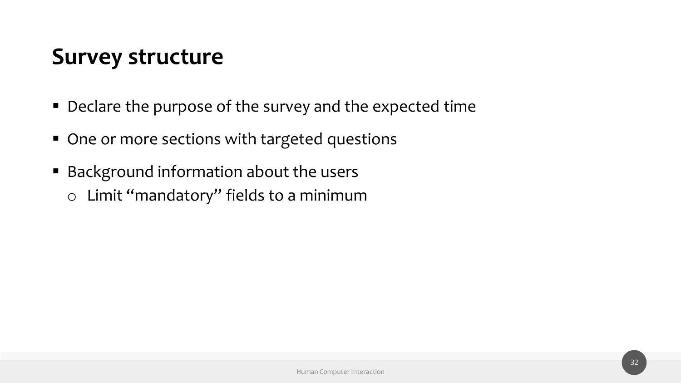#### **Survey structure**

- Declare the purpose of the survey and the expected time
- One or more sections with targeted questions
- Background information about the users o Limit "mandatory" fields to a minimum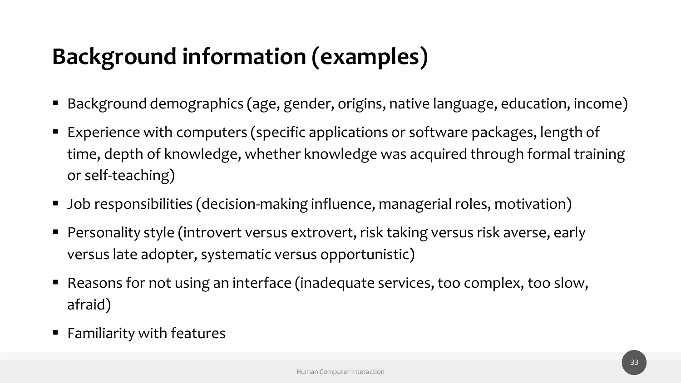#### **Background information (examples)**

- Background demographics (age, gender, origins, native language, education, income)
- Experience with computers (specific applications or software packages, length of time, depth of knowledge, whether knowledge was acquired through formal training or self-teaching)
- Job responsibilities (decision-making influence, managerial roles, motivation)
- Personality style (introvert versus extrovert, risk taking versus risk averse, early versus late adopter, systematic versus opportunistic)
- Reasons for not using an interface (inadequate services, too complex, too slow, afraid)
- Familiarity with features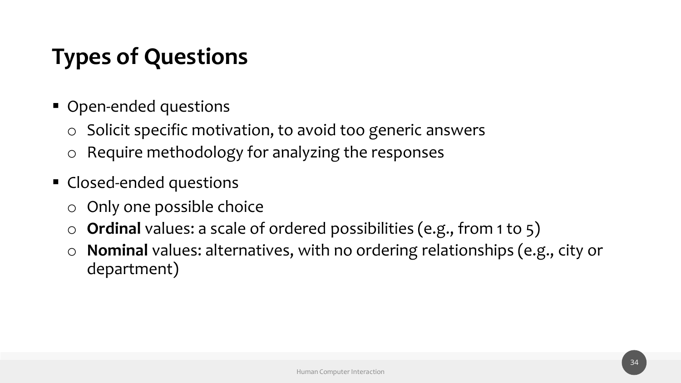#### **Types of Questions**

- Open-ended questions
	- o Solicit specific motivation, to avoid too generic answers
	- o Require methodology for analyzing the responses
- Closed-ended questions
	- o Only one possible choice
	- o **Ordinal** values: a scale of ordered possibilities (e.g., from 1 to 5)
	- o **Nominal** values: alternatives, with no ordering relationships (e.g., city or department)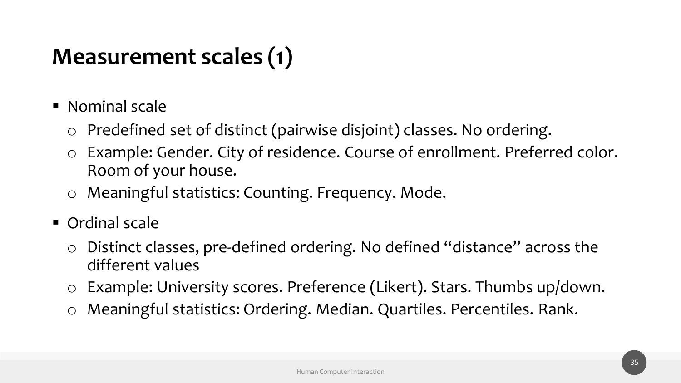#### **Measurement scales (1)**

- Nominal scale
	- o Predefined set of distinct (pairwise disjoint) classes. No ordering.
	- o Example: Gender. City of residence. Course of enrollment. Preferred color. Room of your house.
	- o Meaningful statistics: Counting. Frequency. Mode.
- Ordinal scale
	- o Distinct classes, pre-defined ordering. No defined "distance" across the different values
	- o Example: University scores. Preference (Likert). Stars. Thumbs up/down.
	- o Meaningful statistics: Ordering. Median. Quartiles. Percentiles. Rank.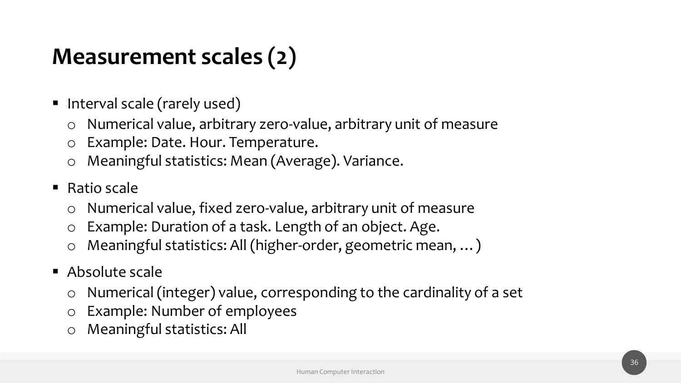#### **Measurement scales (2)**

- Interval scale (rarely used)
	- o Numerical value, arbitrary zero-value, arbitrary unit of measure
	- o Example: Date. Hour. Temperature.
	- o Meaningful statistics: Mean (Average). Variance.
- $\blacksquare$  Ratio scale
	- o Numerical value, fixed zero-value, arbitrary unit of measure
	- o Example: Duration of a task. Length of an object. Age.
	- o Meaningful statistics: All (higher-order, geometric mean, …)
- Absolute scale
	- o Numerical (integer) value, corresponding to the cardinality of a set
	- o Example: Number of employees
	- o Meaningful statistics: All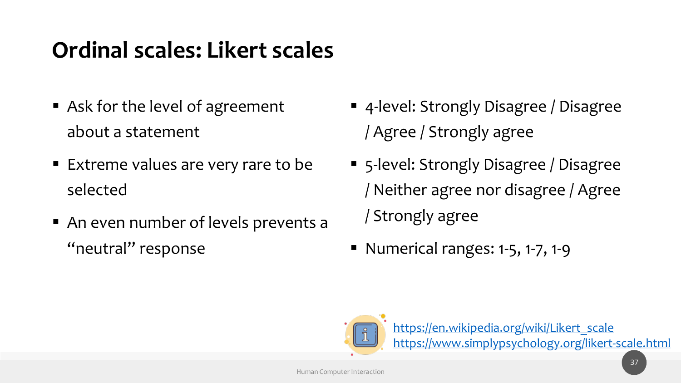#### **Ordinal scales: Likert scales**

- Ask for the level of agreement about a statement
- Extreme values are very rare to be selected
- An even number of levels prevents a "neutral" response
- 4-level: Strongly Disagree / Disagree / Agree / Strongly agree
- 5-level: Strongly Disagree / Disagree / Neither agree nor disagree / Agree / Strongly agree
- Numerical ranges: 1-5, 1-7, 1-9



[https://en.wikipedia.org/wiki/Likert\\_scale](https://en.wikipedia.org/wiki/Likert_scale) <https://www.simplypsychology.org/likert-scale.html>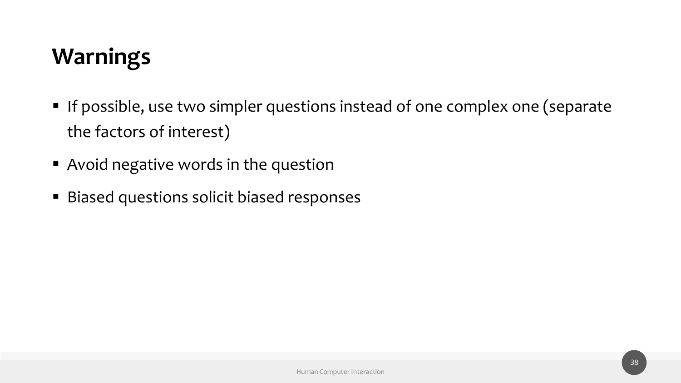#### **Warnings**

- **If possible, use two simpler questions instead of one complex one (separate** the factors of interest)
- Avoid negative words in the question
- Biased questions solicit biased responses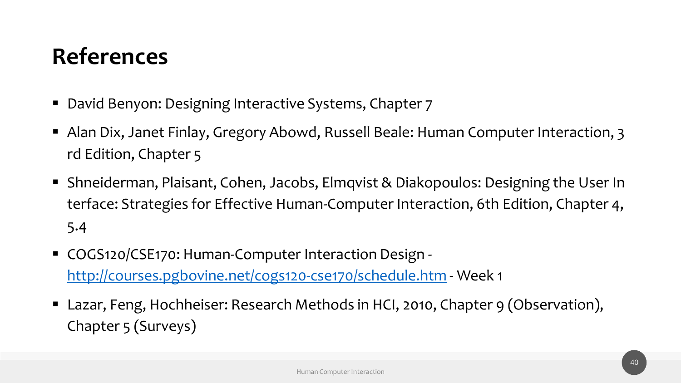#### **References**

- David Benyon: Designing Interactive Systems, Chapter 7
- Alan Dix, Janet Finlay, Gregory Abowd, Russell Beale: Human Computer Interaction, 3 rd Edition, Chapter 5
- Shneiderman, Plaisant, Cohen, Jacobs, Elmqvist & Diakopoulos: Designing the User In terface: Strategies for Effective Human-Computer Interaction, 6th Edition, Chapter 4, 5.4
- COGS120/CSE170: Human-Computer Interaction Design <http://courses.pgbovine.net/cogs120-cse170/schedule.htm> - Week 1
- Lazar, Feng, Hochheiser: Research Methods in HCI, 2010, Chapter 9 (Observation), Chapter 5 (Surveys)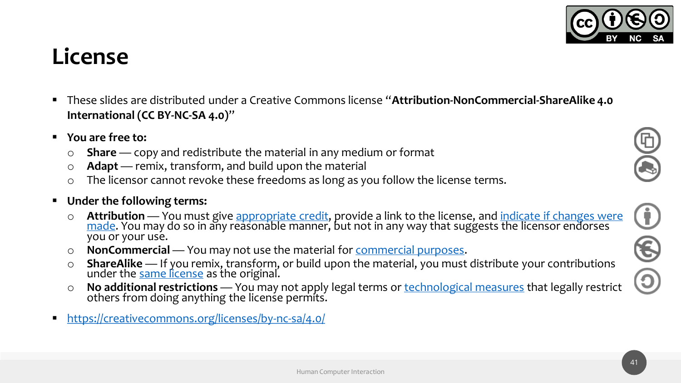#### **License**

- These slides are distributed under a Creative Commons license "**Attribution-NonCommercial-ShareAlike 4.0 International (CC BY-NC-SA 4.0)**"
- **You are free to:**
	- o **Share** copy and redistribute the material in any medium or format
	- o **Adapt** remix, transform, and build upon the material
	- o The licensor cannot revoke these freedoms as long as you follow the license terms.

#### ▪ **Under the following terms:**

- o **Attribution** [You must give appropriate credit, provide a link to the license, and indicate if changes were](https://creativecommons.org/licenses/by-nc-sa/4.0/) <u>made</u>. You may do so in any reasonable manner, but not in any way that suggests the licensor endorses you or your use.
- o **NonCommercial** You may not use the material for [commercial purposes.](https://creativecommons.org/licenses/by-nc-sa/4.0/)
- o **ShareAlike** If you remix, transform, or build upon the material, you must distribute your contributions under the <u>[same license](https://creativecommons.org/licenses/by-nc-sa/4.0/)</u> as the original.
- o **No additional restrictions** You may not apply legal terms or [technological measures](https://creativecommons.org/licenses/by-nc-sa/4.0/) that legally restrict others from doing anything the license permits.
- <https://creativecommons.org/licenses/by-nc-sa/4.0/>